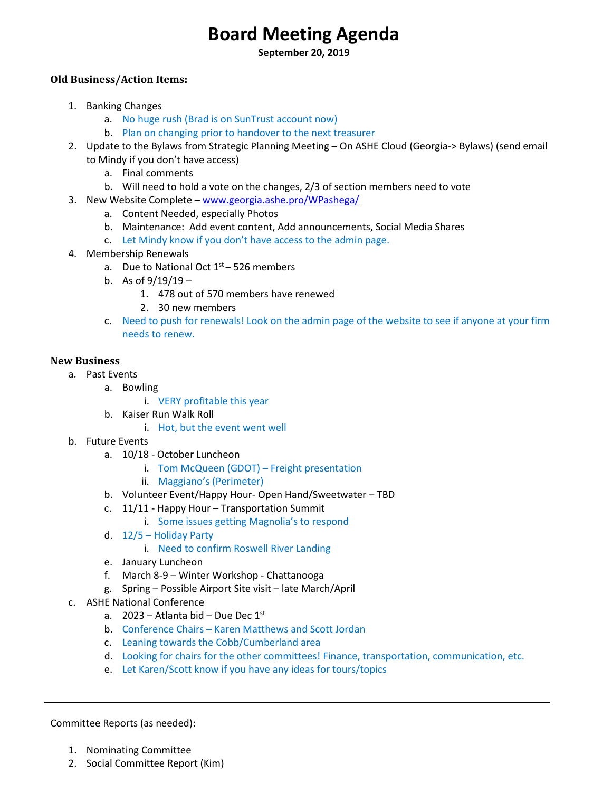# **Board Meeting Agenda**

**September 20, 2019**

## **Old Business/Action Items:**

- 1. Banking Changes
	- a. No huge rush (Brad is on SunTrust account now)
	- b. Plan on changing prior to handover to the next treasurer
- 2. Update to the Bylaws from Strategic Planning Meeting On ASHE Cloud (Georgia-> Bylaws) (send email to Mindy if you don't have access)
	- a. Final comments
	- b. Will need to hold a vote on the changes, 2/3 of section members need to vote
- 3. New Website Complete [www.georgia.ashe.pro/WPashega/](http://www.georgia.ashe.pro/WPashega/)
	- a. Content Needed, especially Photos
	- b. Maintenance: Add event content, Add announcements, Social Media Shares
	- c. Let Mindy know if you don't have access to the admin page.
- 4. Membership Renewals
	- a. Due to National Oct  $1<sup>st</sup> 526$  members
	- b. As of  $9/19/19 -$ 
		- 1. 478 out of 570 members have renewed
		- 2. 30 new members
	- c. Need to push for renewals! Look on the admin page of the website to see if anyone at your firm needs to renew.

## **New Business**

- a. Past Events
	- a. Bowling
		- i. VERY profitable this year
	- b. Kaiser Run Walk Roll
		- i. Hot, but the event went well
- b. Future Events
	- a. 10/18 October Luncheon
		- i. Tom McQueen (GDOT) Freight presentation
		- ii. Maggiano's (Perimeter)
	- b. Volunteer Event/Happy Hour- Open Hand/Sweetwater TBD
	- c. 11/11 Happy Hour Transportation Summit
		- i. Some issues getting Magnolia's to respond
	- d. 12/5 Holiday Party
		- i. Need to confirm Roswell River Landing
	- e. January Luncheon
	- f. March 8-9 Winter Workshop Chattanooga
	- g. Spring Possible Airport Site visit late March/April
- c. ASHE National Conference
	- a.  $2023 -$ Atlanta bid Due Dec 1st
	- b. Conference Chairs Karen Matthews and Scott Jordan
	- c. Leaning towards the Cobb/Cumberland area
	- d. Looking for chairs for the other committees! Finance, transportation, communication, etc.
	- e. Let Karen/Scott know if you have any ideas for tours/topics

Committee Reports (as needed):

- 1. Nominating Committee
- 2. Social Committee Report (Kim)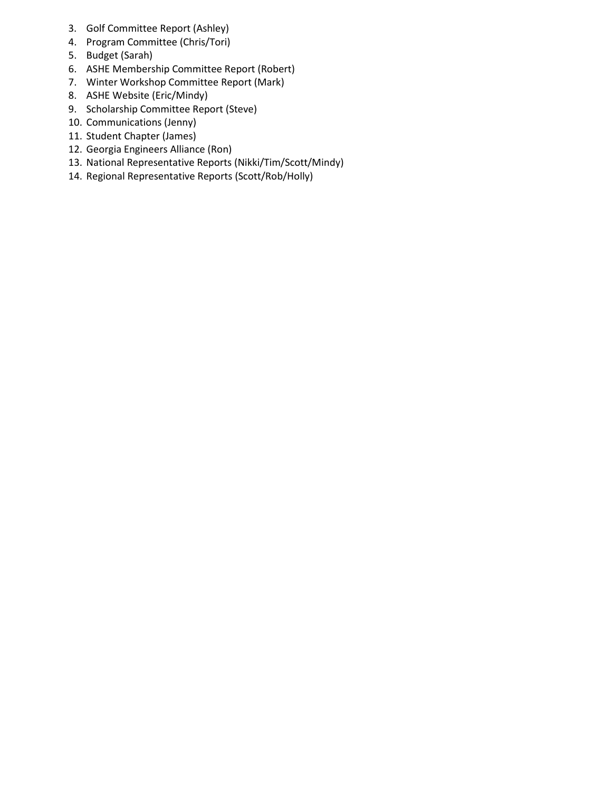- 3. Golf Committee Report (Ashley)
- 4. Program Committee (Chris/Tori)
- 5. Budget (Sarah)
- 6. ASHE Membership Committee Report (Robert)
- 7. Winter Workshop Committee Report (Mark)
- 8. ASHE Website (Eric/Mindy)
- 9. Scholarship Committee Report (Steve)
- 10. Communications (Jenny)
- 11. Student Chapter (James)
- 12. Georgia Engineers Alliance (Ron)
- 13. National Representative Reports (Nikki/Tim/Scott/Mindy)
- 14. Regional Representative Reports (Scott/Rob/Holly)